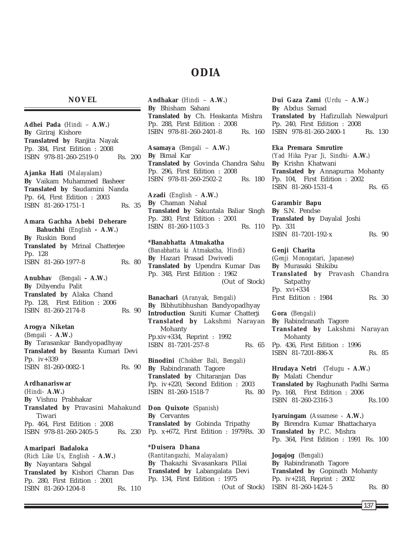# **ODIA**

### **NOVEL**

**Adhei Pada** (*Hindi* – **A.W.**) **By** Giriraj Kishore **Translatred by** Ranjita Nayak Pp. 384, First Edition : 2008 ISBN 978-81-260-2519-0 Rs. 200 **Ajanka Hati** (*Malayalam*) **By** Vaikam Muhammed Basheer **Translated by** Saudamini Nanda Pp. 64, First Edition : 2003 ISBN 81-260-1751-1 Rs. 35 **Amara Gachha Abebi Deherare Bahuchhi** (*English* **- A.W.**) **By** Ruskin Bond **Translated by** Mrinal Chatterjee Pp. 128 ISBN 81-260-1977-8 Rs. 80 **Anubhav** (*Bengali* **- A.W.**) **By** Dibyendu Palit **Translated by** Alaka Chand Pp. 128, First Edition : 2006 ISBN 81-260-2174-8 Rs. 90 **Arogya Niketan** (*Bengali* - **A.W.**) **By** Tarasankar Bandyopadhyay **Translated by** Basanta Kumari Devi Pp. iv+339 ISBN 81-260-0082-1 Rs. 90 **Ardhanariswar** (*Hindi*- **A.W.**) **By** Vishnu Prabhakar **Translated by** Pravasini Mahakund Tiwari Pp. 464, First Edition : 2008 ISBN 978-81-260-2405-5 Rs. 230 **Amaripari Badaloka**

(*Rich Like Us, English* - **A.W.**) **By** Nayantara Sahgal **Translated by** Kishori Charan Das Pp. 280, First Edition : 2001 ISBN 81-260-1204-8 Rs. 110

**Andhakar** (*Hindi* – **A.W.**) **By** Bhisham Sahani **Translated by** Ch. Heakanta Mishra Pp. 288, First Edition : 2008 ISBN 978-81-260-2401-8 Rs. 160

**Asamaya** (*Bengali* – **A.W.**) **By** Bimal Kar **Translated by** Govinda Chandra Sahu Pp. 296, First Edition : 2008 ISBN 978-81-260-2502-2 Rs. 180

**Azadi** (*English* - **A.W.**) **By** Chaman Nahal **Translated by** Sakuntala Baliar Singh Pp. 280, First Edition : 2001 ISBN 81-260-1103-3 Rs. 110

**\*Banabhatta Atmakatha** (*Banabhatta ki Atmakatha, Hindi*) **By** Hazari Prasad Dwivedi **Translated by** Upendra Kumar Das Pp. 348, First Edition : 1962 (Out of Stock)

**Banachari** (*Aranyak, Bengali*) **By** Bibhutibhushan Bandyopadhyay **Introduction** Suniti Kumar Chatterji **Translated by** Lakshmi Narayan Mohanty Pp.xiv+334, Reprint : 1992 ISBN 81-7201-257-8 Rs. 65

**Binodini** (*Chokher Bali, Bengali*) **By** Rabindranath Tagore **Translated by** Chitaranjan Das Pp. iv+220, Second Edition : 2003 ISBN 81-260-1518-7 Rs. 80

**Don Quixote** (*Spanish*) **By** Cervantes **Translated by** Gobinda Tripathy Pp. x+672, First Edition : 1979Rs. 30

**\*Duisera Dhana** (*Rantitangazhi, Malayalam*) **By** Thakazhi Sivasankara Pillai **Translated by** Labangalata Devi Pp. 134, First Edition : 1975 (Out of Stock) **Dui Gaza Zami** (*Urdu* – **A.W.**) **By** Abdus Samad **Translated by** Hafizullah Newalpuri Pp. 240, First Edition : 2008 ISBN 978-81-260-2400-1 Rs. 130

**Eka Premara Smrutire**

*(Yad Hika Pyar Ji, Sindhi-* **A.W.***)* **By** Krishn Khatwani **Translated by** Annapurna Mohanty Pp. 104, First Edition : 2002 ISBN 81-260-1531-4 Rs. 65

**Garambir Bapu**

**By** S.N. Pendse **Translated by** Dayalal Joshi Pp. 331 ISBN 81-7201-192-x Rs. 90

**Genji Charita** (*Genji Monogatari, Japanese*) **By** Murasaki Shikibu **Translated by** Pravash Chandra Satpathy Pp. xvi+334 First Edition : 1984 Rs. 30

**Gora** (*Bengali*) **By** Rabindranath Tagore **Translated by** Lakshmi Narayan Mohanty Pp. 436, First Edition : 1996 ISBN 81-7201-886-X Rs. 85

**Hrudaya Netri** (*Telugu* **- A.W.**) **By** Malati Chendur **Translated by** Raghunath Padhi Sarma Pp. 168, First Edition : 2006 ISBN 81-260-2316-3 Rs.100

**Iyaruingam** (*Assamese* - **A.W.**) **By** Birendra Kumar Bhattacharya **Translated by** P.C. Mishra Pp. 364, First Edition : 1991 Rs. 100

**Jogajog** (*Bengali*) **By** Rabindranath Tagore **Translated by** Gopinath Mohanty Pp. iv+218, Reprint : 2002 ISBN 81-260-1424-5 Rs. 80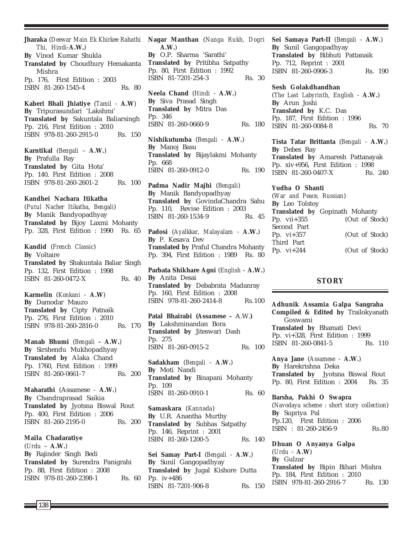**Jharaka** (*Deewar Main Ek Khirkee Rahathi Thi, Hindi-***A.W.**) **By** Vinod Kumar Shukla **Translated by** Choudhury Hemakanta Mishra Pp. 176, First Edition : 2003 ISBN 81-260-1545-4 Rs. 80

**Kaberi Bhali Jhiatiye** (*Tamil* - **A.W**) **By** Tripurasundari 'Lakshmi' **Translated by** Sakuntala Baliarsingh Pp. 216, First Edition : 2010 ISBN 978-81-260-2915-0 Rs. 150

**Karntikal** (*Bengali* – **A.W.**) **By** Prafulla Ray **Translated by** Gita Hota' Pp. 140, First Edition : 2008 ISBN 978-81-260-2601-2 Rs. 100

#### **Kandhei Nachara Itikatha**

(*Putul Nacher Itikatha, Bengali*) **By** Manik Bandyopadhyay **Translated by** Bijoy Laxmi Mohanty Pp. 328, First Edition : 1990 Rs. 65

**Kandid** (*French Classic*) **By** Voltaire **Translated by** Shakuntala Baliar Singh Pp. 132, First Edition : 1998 ISBN 81-260-0472-X Rs. 40

**Karmelin** (*Konkani* - **A.W**) **By** Damodar Mauzo **Translated by** Cipty Patnaik Pp. 276, First Edition : 2010 ISBN 978-81-260-2816-0 Rs. 170

**Manab Bhumi** (*Bengali* **- A.W.**) **By** Sirshendu Mukhopadhyay **Translated by** Alaka Chand Pp. 1760, First Edition : 1999 ISBN 81-260-0661-7 Rs. 200

**Maharathi** (Assamese - **A.W.**) **By** Chandraprasad Saikia **Translated by** Jyotsna Biswal Rout Pp. 400, First Edition : 2006 ISBN 81-260-2195-0 Rs. 200

**Maila Chadaratiye** (*Urdu* – **A.W.**) **By** Rajinder Singh Bedi **Translated by** Surendra Panigrahi Pp. 88, First Edition : 2008 ISBN 978-81-260-2398-1 Rs. 60 **Nagar Manthan** (*Nanga Rukh, Dogri* **A.W.**) **By** O.P. Sharma 'Sarathi' **Translated by** Pritibha Satpathy Pp. 80, First Edition : 1992 ISBN 81-7201-254-3 Rs. 30 **Neela Chand** (*Hindi* - **A.W.**) **By** Siva Prasad Singh **Translated by** Mitra Das

Pp. 346 ISBN 81-260-0660-9 Rs. 180

**Nishikutumba** (*Bengali* - **A.W.**) **By** Manoj Basu **Translated by** Bijaylakmi Mohanty Pp. 668 ISBN 81-260-0912-0 Rs. 190

**Padma Nadir Majhi** (*Bengali*) **By** Manik Bandyopadhyay **Translated by** GovindaChandra Sahu Pp. 110, Revise Edition : 2003  $\overline{ISBN}$  81-260-1534-9

**Padosi** (*Ayalkkar, Malayalam* - **A.W.**) **By** P. Kesava Dev **Translated by** Praful Chandra Mohanty Pp. 394, First Edition : 1989 Rs. 80

**Parbata Shikhare Agni** (*English* – **A.W.**) **By** Anita Desai **Translated by** Debabrata Madanray Pp. 160, First Edition : 2008 ISBN 978-81-260-2414-8 Rs.100

**Patal Bhairabi (***Assamese* **-** A.W.**) By** Lakshminandan Bora **Translated by** Jiteswari Dash Pp. 275 ISBN 81-260-0915-2 Rs. 100

**Sadakham** (*Bengali* - **A.W.**) **By** Moti Nandi **Translated by** Binapani Mohanty Pp. 109 ISBN 81-260-0910-1 Rs. 60

**Samaskara** (*Kannada*) **By** U.R. Anantha Murthy **Translated by** Subhas Satpathy Pp. 146, Reprint : 2001 ISBN 81-260-1200-5 Rs. 140

**Sei Samay Part-I** (*Bengali* - **A.W.**) **By** Sunil Gangopadhyay **Translated by** Jugal Kishore Dutta Pp. iv+486 ISBN 81-7201-906-8 Rs. 150 **Sei Samaya Part-II** (*Bengali* - **A.W.**) **By** Sunil Gangopadhyay **Translated by** Bibhuti Pattanaik Pp. 712, Reprint : 2001 ISBN 81-260-0906-3 Rs. 190

**Sesh Golakdhandhan** (*The Last Labyrinth, English* - **A.W.**) **By** Arun Joshi **Translated by** K.C. Das Pp. 187, First Edition : 1996 ISBN 81-260-0084-8 Rs. 70

**Tista Tatar Brittanta** (*Bengali* - **A.W.**) **By** Debes Ray **Translated by** Amaresh Pattanayak Pp. xiv+956, First Edition : 1998 ISBN 81-260-0407-X Rs. 240

**Yudha O Shanti** (*War and Peace, Russian*) **By** Leo Tolstoy **Translated by** Gopinath Mohanty Pp. vii+355 (Out of Stock) Second Part Pp. vi+357 (Out of Stock) Third Part Pp. vi+244 (Out of Stock)

## **STORY**

**Adhunik Assamia Galpa Sangraha Compiled & Edited by** Trailokyanath Goswami **Translated by** Bhamati Devi Pp. vi+328, First Edition : 1999 ISBN 81-260-0841-5 Rs. 110

**Anya Jane** (*Assamese* - **A.W.**) **By** Harekrishna Deka **Translated by** Jyotsna Biswal Rout Pp. 80, First Edition : 2004 Rs. 35

**Barsha, Pakhi O Swapra** (*Navodaya scheme : short story collection*) **By** Supriya Pal Pp.120, First Edition : 2006 ISBN : 81-260-2456-9 Rs.80

**Dhuan O Anyanya Galpa** (*Urdu* - **A.W**) **By** Gulzar **Translated by** Bipin Bihari Mishra Pp. 184, First Edition : 2010 ISBN 978-81-260-2916-7 Rs. 130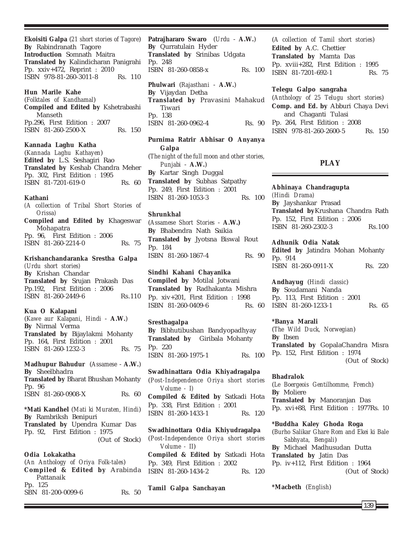**Ekoisiti Galpa** (*21 short stories of Tagore*) **By** Rabindranath Tagore **Introduction** Somnath Maitra **Translated by** Kalindicharan Panigrahi Pp. xxiv+472, Reprint : 2010 ISBN 978-81-260-3011-8 Rs. 110

#### **Hun Marile Kahe**

(*Folktales of Kandhamal*) **Compiled and Edited by** Kshetrabashi Manseth Pp.296, First Edition : 2007 ISBN 81-260-2500-X Rs. 150

#### **Kannada Laghu Katha**

(*Kannada Laghu Kathayen*) **Edited by** L.S. Seshagiri Rao **Translated by** Keshab Chandra Meher Pp. 302, First Edition : 1995 ISBN 81-7201-619-0 Rs. 60

#### **Kathani**

*(A collection of Tribal Short Stories of Orissa)* **Compiled and Edited by** Khageswar Mohapatra Pp. 96, First Edition : 2006 ISBN 81-260-2214-0 Rs. 75

#### **Krishanchandaranka Srestha Galpa** *(Urdu short stories)*

**By** Krishan Chandar **Translated by** Srujan Prakash Das Pp.192, First Edition : 2006 ISBN 81-260-2449-6 Rs.110

#### **Kua O Kalapani**

(*Kawe aur Kalapani, Hindi* - **A.W.**) **By** Nirmal Verma **Translated by** Bijaylakmi Mohanty Pp. 164, First Edition : 2001 ISBN 81-260-1232-3 Rs. 75

**Madhupur Bahudur** (*Assamese* - **A.W.**) **By** Sheelbhadra **Translated by** Bharat Bhushan Mohanty Pp. 96 ISBN 81-260-0908-X Rs. 60

**\*Mati Kandhel** (*Mati ki Muraten, Hindi*) **By** Rambriksh Benipuri **Translated by** Upendra Kumar Das Pp. 92, First Edition : 1975 (Out of Stock)

#### **Odia Lokakatha**

(*An Anthology of Oriya Folk-tales*) **Compiled & Edited by** Arabinda Pattanaik Pp. 125 SBN 81-200-0099-6 Rs. 50

**Patrajhararo Swaro** (*Urdu* - **A.W.**) **By** Qurratulain Hyder **Translated by** Srinibas Udgata Pp. 248 ISBN 81-260-0858-x Rs. 100 **Phulwari** (*Rajasthani* - **A.W.**) **By** Vijaydan Detha **Translated by** Pravasini Mahakud Tiwari

Pp. 138 ISBN 81-260-0962-4 Rs. 90

## **Purnima Ratrir Abhisar O Anyanya Galpa** (*The night of the full moon and other stories, Punjabi* - **A.W.**)

**By** Kartar Singh Duggal **Translated by** Subhas Satpathy Pp. 249, First Edition : 2001 ISBN 81-260-1053-3 Rs. 100

#### **Shrunkhal**

(*Assamese Short Stories* - **A.W.) By** Bhabendra Nath Saikia **Translated by** Jyotsna Biswal Rout Pp. 184 ISBN 81-260-1867-4 Rs. 90

#### **Sindhi Kahani Chayanika**

**Compiled by** Motilal Jotwani **Translated by** Radhakanta Mishra Pp. xiv+201, First Edition : 1998 ISBN 81-260-0409-6 Rs. 60

#### **Sresthagalpa**

**By** Bibhutibushan Bandyopadhyay **Translated by** Giribala Mohanty Pp. 220 ISBN 81-260-1975-1 Rs. 100

**Swadhinattara Odia Khiyadragalpa** (*Post-Independence Oriya short stories Volume - I)* **Compiled & Edited by** Satkadi Hota Pp. 338, First Edition : 2001 ISBN 81-260-1433-1 Rs. 120

**Swadhinottara Odia Khiyudragalpa** (*Post-Independence Oriya short stories Volume - II*) **Compiled & Edited by** Satkadi Hota Pp. 349, First Edition : 2002 ISBN 81-260-1434-2 Rs. 120

**Tamil Galpa Sanchayan**

(*A collection of Tamil short stories*) **Edited by** A.C. Chettier **Translated by** Mamta Das Pp. xviii+282, First Edition : 1995 ISBN 81-7201-692-1 Rs. 75

## **Telegu Galpo sangraha**

(*Anthology of 25 Telugu short stories*) **Comp. and Ed. by** Abburi Chaya Devi and Chaganti Tulasi Pp. 264, First Edition : 2008 ISBN 978-81-260-2600-5 Rs. 150

## **PLAY**

**Abhinaya Chandragupta** *(Hindi Drama)* **By** Jayshankar Prasad **Translated by**Krushana Chandra Rath Pp. 152, First Edition : 2006 ISBN 81-260-2302-3 Rs.100

#### **Adhunik Odia Natak**

**Edited by** Jatindra Mohan Mohanty Pp. 914 ISBN 81-260-0911-X Rs. 220

**Andhayug** (*Hindi classic*) **By** Soudamani Nanda Pp. 113, First Edition : 2001 ISBN 81-260-1233-1 Rs. 65

#### **\*Banya Marali**

(*The Wild Duck, Norwegian*) **By** Ibsen **Translated by** GopalaChandra Misra Pp. 152, First Edition : 1974 (Out of Stock)

#### **Bhadralok**

(*Le Boergeois Gentilhomme, French*) **By** Moliere **Translated by** Manoranjan Das Pp. xvi+88, First Edition : 1977Rs. 10

## **\*Buddha Kaley Ghoda Roga**

(*Burho Salikar Ghare Rom and Ekei ki Bale Sabhyata, Bengali*) **By** Michael Madhusudan Dutta **Translated by** Jatin Das Pp. iv+112, First Edition : 1964 (Out of Stock)

**\*Macbeth** (*English*)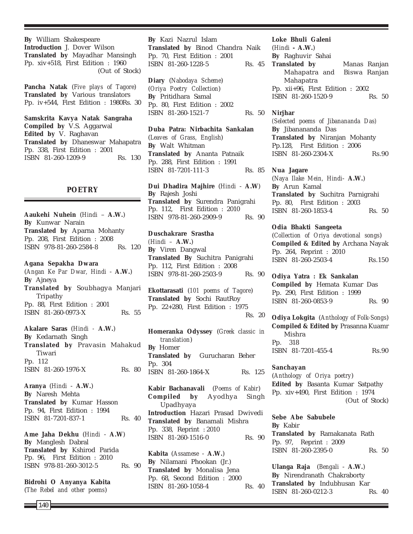**By** William Shakespeare **Introduction** J. Dover Wilson **Translated by** Mayadhar Mansingh Pp. xiv+518, First Edition : 1960 (Out of Stock)

**Pancha Natak** (*Five plays of Tagore*) **Translated by** Various translators Pp. iv+544, First Edition : 1980Rs. 30

**Samskrita Kavya Natak Sangraha Compiled by** V.S. Aggarwal **Edited by** V. Raghavan **Translated by** Dhaneswar Mahapatra Pp. 338, First Edition : 2001 ISBN 81-260-1209-9 Rs. 130

## **POETRY**

**Aaukehi Nuhein** (*Hindi* – **A.W.**) **By** Kunwar Narain **Translated by** Aparna Mohanty Pp. 208, First Edition : 2008 ISBN 978-81-260-2584-8 Rs. 120

**Agana Sepakha Dwara** (*Angan Ke Par Dwar, Hindi* - **A.W.**) **By** Ajneya **Translated by** Soubhagya Manjari Tripathy Pp. 88, First Edition : 2001 ISBN 81-260-0973-X Rs. 55

**Akalare Saras** (*Hindi -* **A.W.**) **By** Kedarnath Singh **Translated by** Pravasin Mahakud Tiwari Pp. 112 ISBN 81-260-1976-X Rs. 80

**Aranya** (*Hindi* - **A.W.**) **By** Naresh Mehta **Translated by** Kumar Hasson Pp. 94, First Edition : 1994 ISBN 81-7201-837-1 Rs. 40

**Ame Jaha Dekhu** (*Hindi* - **A.W**) **By** Manglesh Dabral **Translated by** Kshirod Parida Pp. 96, First Edition : 2010 ISBN 978-81-260-3012-5 Rs. 90

**Bidrohi O Anyanya Kabita** (*The Rebel and other poems*)

**By** Kazi Nazrul Islam **Translated by** Binod Chandra Naik Pp. 70, First Edition : 2001 ISBN 81-260-1228-5 Rs. 45

**Diary** (*Nabodaya Scheme*) (*Oriya Poetry Collection*) **By** Pritidhara Samal Pp. 80, First Edition : 2002 ISBN 81-260-1521-7 Rs. 50

**Duba Patra: Nirbachita Sankalan** (*Leaves of Grass, English*) **By** Walt Whitman **Translated by** Ananta Patnaik Pp. 288, First Edition : 1991 ISBN 81-7201-111-3 Rs. 85

**Dui Dhadira Majhire** (*Hindi* - **A.W**) **By** Rajesh Joshi **Translated by** Surendra Panigrahi Pp. 112, First Edition : 2010 ISBN 978-81-260-2909-9 Rs. 90

**Duschakrare Srastha** *(Hindi –* **A.W.**) **By** Viren Dangwal **Translated By** Suchitra Panigrahi Pp. 112, First Edition : 2008 ISBN 978-81-260-2503-9 Rs. 90

**Ekottarasati** (*101 poems of Tagore*) **Translated by** Sochi RautRoy Pp. 22+280, First Edition : 1975 Rs. 20

**Homeranka Odyssey** (*Greek classic in translation*) **By** Homer **Translated by** Gurucharan Beher Pp. 304 ISBN 81-260-1864-X Rs. 125

**Kabir Bachanavali** (*Poems of Kabir*) **Compiled by** Ayodhya Singh Upadhyaya **Introduction** Hazari Prasad Dwivedi **Translated by** Banamali Mishra Pp. 338, Reprint : 2010 ISBN 81-260-1516-0 Rs. 90

**Kabita** (*Assamese* - **A.W.**) **By** Nilamani Phookan (Jr.) **Translated by** Monalisa Jena Pp. 68, Second Edition : 2000 ISBN 81-260-1058-4 Rs. 40 **Loke Bhuli Galeni** (*Hindi* **- A.W.**) **By** Raghuvir Sahai **Translated by** Manas Ranjan Mahapatra and Biswa Ranjan Mahapatra Pp. xii+96, First Edition : 2002 ISBN 81-260-1520-9 Rs. 50

**Nirjhar**

*(Selected poems of Jibanananda Das)* **By** Jibanananda Das **Translated by** Niranjan Mohanty Pp.128, First Edition : 2006 ISBN 81-260-2304-X Rs.90

**Nua Jagare** (*Naya Ilake Mein, Hindi*- **A.W.**) **By** Arun Kamal **Translated by** Suchitra Parnigrahi Pp. 80, First Edition : 2003 ISBN 81-260-1853-4 Rs. 50

**Odia Bhakti Sangeeta** (*Collection of Oriya devotional songs*) **Compiled & Edited by** Archana Nayak Pp. 264, Reprint : 2010 ISBN 81-260-2503-4 Rs.150

**Odiya Yatra : Ek Sankalan Compiled by** Hemata Kumar Das Pp. 290, First Edition : 1999 ISBN 81-260-0853-9 Rs. 90

**Odiya Lokgita** (*Anthology of Folk-Songs*) **Compiled & Edited by** Prasanna Kuamr Mishra Pp. 318 ISBN 81-7201-455-4 Rs.90

**Sanchayan** (*Anthology of Oriya poetry*) **Edited by** Basanta Kumar Satpathy Pp. xiv+490, First Edition : 1974 (Out of Stock)

**Sebe Abe Sabubele By** Kabir **Translated by** Ramakanata Rath Pp. 97, Reprint : 2009 ISBN 81-260-2395-0 Rs. 50

**Ulanga Raja** (*Bengali* - **A.W.**) **By** Nirendranath Chakraborty **Translated by** Indubhusan Kar ISBN 81-260-0212-3 Rs. 40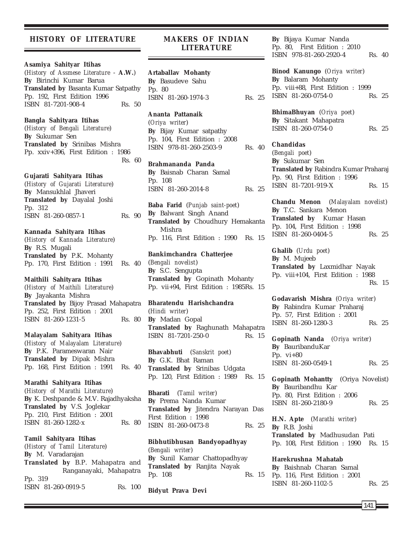### **HISTORY OF LITERATURE**

#### **Asamiya Sahityar Itihas**

(*History of Assmese Literature* - **A.W.**) **By** Birinchi Kumar Barua **Translated by** Basanta Kumar Satpathy Pp. 192, First Edition 1996 ISBN 81-7201-908-4 Rs. 50

#### **Bangla Sahityara Itihas**

(*History of Bengali Literature*) **By** Sukumar Sen **Translated by** Srinibas Mishra Pp. xxiv+396, First Edition : 1986 Rs. 60

#### **Gujarati Sahityara Itihas**

(*History of Gujarati Literature*) **By** Mansukhlal Jhaveri **Translated by** Dayalal Joshi Pp. 312 ISBN 81-260-0857-1 Rs. 90

#### **Kannada Sahityara Itihas**

(*History of Kannada Literature*) **By** R.S. Mugali **Translated by** P.K. Mohanty Pp. 170, First Edition : 1991 Rs. 40

#### **Maithili Sahityara Itihas**

(*History of Maithili Literature*) **By** Jayakanta Mishra **Translated by** Bijoy Prasad Mahapatra Pp. 252, First Edition : 2001 ISBN 81-260-1231-5 Rs. 80

### **Malayalam Sahityara Itihas**

(*History of Malayalam Literature*) **By** P.K. Parameswaran Nair **Translated by** Dipak Mishra Pp. 168, First Edition : 1991 Rs. 40

**Marathi Sahityara Itihas** (*History of Marathi Literature*) **By** K. Deshpande & M.V. Rajadhyaksha **Translated by** V.S. Joglekar Pp. 210, First Edition : 2001 ISBN 81-260-1282-x Rs. 80

**Tamil Sahityara Itihas** (*History of Tamil Literature*) **By** M. Varadarajan **Translated by** B.P. Mahapatra and Ranganayaki, Mahapatra Pp. 319 ISBN 81-260-0919-5 Rs. 100

## **MAKERS OF INDIAN LITERATURE**

**Artaballav Mohanty By** Basudeve Sahu Pp. 80 ISBN 81-260-1974-3 Rs. 25

## **Ananta Pattanaik**

(*Oriya writer*) **By** Bijay Kumar satpathy Pp. 104, First Edition : 2008 ISBN 978-81-260-2503-9 Rs. 40

## **Brahmananda Panda By** Baisnab Charan Samal Pp. 108 ISBN 81-260-2014-8 Rs. 25

**Baba Farid** (*Punjab saint-poet*) **By** Balwant Singh Anand **Translated by** Choudhury Hemakanta Mishra Pp. 116, First Edition : 1990 Rs. 15

## **Bankimchandra Chatterjee** (*Bengali novelist*) **By** S.C. Sengupta **Translated by** Gopinath Mohanty Pp. vii+94, First Edition : 1985Rs. 15

## **Bharatendu Harishchandra** (*Hindi writer*)

**By** Madan Gopal **Translated by** Raghunath Mahapatra ISBN 81-7201-250-0 Rs. 15

**Bhavabhuti** (*Sanskrit poet*) **By** G.K. Bhat Raman **Translated by** Srinibas Udgata Pp. 120, First Edition : 1989 Rs. 15

**Bharati** (*Tamil writer*) **By** Prema Nanda Kumar **Translated by** Jitendra Narayan Das First Edition : 1998 ISBN 81-260-0473-8 Rs. 25

**Bibhutibhusan Bandyopadhyay** (*Bengali writer*) **By** Sunil Kamar Chattopadhyay **Translated by** Ranjita Nayak Pp. 108 Rs. 15

**Bidyut Prava Devi**

**By** Bijaya Kumar Nanda Pp. 80, First Edition : 2010 ISBN 978-81-260-2920-4 Rs. 40

**Binod Kanungo** (*Oriya writer*) **By** Balaram Mohanty Pp. viii+88, First Edition : 1999 ISBN 81-260-0754-0 Rs. 25

**BhimaBhuyan** (*Oriya poet*) **By** Sitakant Mahapatra ISBN 81-260-0754-0 Rs. 25

**Chandidas** (*Bengali poet*) **By** Sukumar Sen **Translated by** Rabindra Kumar Praharaj Pp. 90, First Edition : 1996 ISBN 81-7201-919-X Rs. 15

**Chandu Menon** (*Malayalam novelist*) **By** T.C. Sankara Menon **Translated by** Kumar Hasan Pp. 104, First Edition : 1998 ISBN 81-260-0404-5 Rs. 25

**Ghalib** (*Urdu poet*) **By** M. Mujeeb **Translated by** Laxmidhar Nayak Pp. viii+104, First Edition : 1988 Rs. 15

**Godavarish Mishra** (*Oriya writer*) **By** Rabindra Kumar Praharaj Pp. 57, First Edition : 2001 ISBN 81-260-1280-3 Rs. 25

**Gopinath Nanda** (*Oriya writer*) **By** BauribanduKar Pp. vi+80 ISBN 81-260-0549-1 Rs. 25

**Gopinath Mohantty** (Oriya Novelist) **By** Bauribandhu Kar Pp. 80, First Edition : 2006 ISBN 81-260-2180-9 Rs. 25

**H.N. Apte** (*Marathi writer*) **By** R.B. Joshi **Translated by** Madhusudan Pati Pp. 108, First Edition : 1990 Rs. 15

# **Harekrushna Mahatab**

**By** Baishnab Charan Samal Pp. 116, First Edition : 2001 ISBN 81-260-1102-5 Rs. 25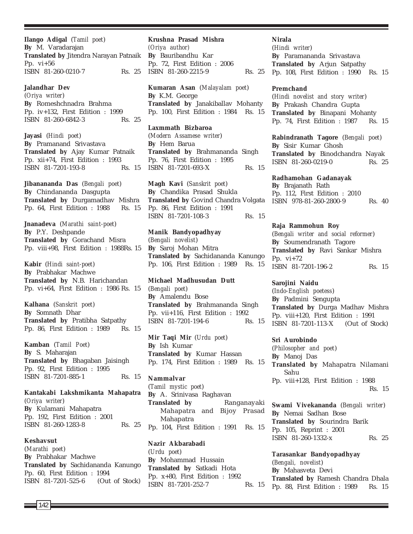**Ilango Adigal** (*Tamil poet*) **By** M. Varadarajan **Translated by** Jitendra Narayan Patnaik Pp. vi+56 ISBN 81-260-0210-7 Rs. 25

**Jalandhar Dev** (*Oriya writer*) **By** Romeshchnadra Brahma Pp. iv+132, First Edition : 1999 ISBN 81-260-6842-3 Rs. 25

**Jayasi** (*Hindi poet*) **By** Pramanand Srivastava **Translated by** Ajay Kumar Patnaik Pp. xii+74, First Edition : 1993 ISBN 81-7201-193-8 Rs. 15

**Jibanananda Das** (*Bengali poet*) **By** Chindananda Dasgupta **Translated by** Durgamadhav Mishra Pp. 64, First Edition : 1988 Rs. 15

**Jnanadeva** (*Marathi saint-poet*) **By** P.Y. Deshpande **Translated by** Gorachand Misra Pp. viii+98, First Edition : 1988Rs. 15

**Kabir** (*Hindi saint-poet*) **By** Prabhakar Machwe **Translated by** N.B. Harichandan Pp. vi+64, First Edition : 1986 Rs. 15

**Kalhana** (*Sanskrit poet*) **By** Somnath Dhar **Translated by** Pratibha Satpathy Pp. 86, First Edition : 1989 Rs. 15

**Kamban** (*Tamil Poet*) **By** S. Maharajan **Translated by** Bhagaban Jaisingh Pp. 92, First Edition : 1995 ISBN 81-7201-885-1 Rs. 15

**Kantakabi Lakshmikanta Mahapatra** (*Oriya writer*) **By** Kulamani Mahapatra Pp. 192, First Edition : 2001 ISBN 81-260-1283-8 Rs. 25

**Keshavsut** (*Marathi poet*) **By** Prabhakar Machwe **Translated by** Sachidananda Kanungo Pp. 60, First Edition : 1994 ISBN 81-7201-525-6 (Out of Stock)

**Krushna Prasad Mishra** *(Oriya author)* **By** Bauribandhu Kar Pp. 72, First Edition : 2006 ISBN 81-260-2215-9 Rs. 25

**Kumaran Asan** (*Malayalam poet*) **By** K.M. George **Translated by** Janakiballav Mohanty Pp. 100, First Edition : 1984 Rs. 15

**Laxmmath Bizbaroa** (*Modern Assamese writer*) **By** Hem Barua **Translated by** Brahmananda Singh Pp. 76, First Edition : 1995 ISBN 81-7201-693-X Rs. 15

**Magh Kavi** (*Sanskrit poet*) **By** Chandika Prasad Shukla **Translated by** Govind Chandra Volgata Pp. 86, First Edition : 1991 ISBN 81-7201-108-3 Rs. 15

**Manik Bandyopadhyay** (*Bengali novelist*) **By** Saroj Mohan Mitra **Translated by** Sachidananda Kanungo Pp. 106, First Edition : 1989 Rs. 15

**Michael Madhusudan Dutt** (*Bengali poet*) **By** Amalendu Bose **Translated by** Brahmananda Singh Pp. vii+116, First Edition : 1992 ISBN 81-7201-194-6 Rs. 15

**Mir Taqi Mir** (*Urdu poet*) **By** Ish Kumar **Translated by** Kumar Hassan Pp. 174, First Edition : 1989 Rs. 15

**Nammalvar** (*Tamil mystic poet*) **By** A. Srinivasa Raghavan **Translated by** Ranganayaki Mahapatra and Bijoy Prasad Mahapatra Pp. 104, First Edition : 1991 Rs. 15

**Nazir Akbarabadi** (*Urdu poet*) **By** Mohammad Hussain **Translated by** Satkadi Hota Pp. x+80, First Edition : 1992 ISBN 81-7201-252-7 Rs. 15 **Nirala** (*Hindi writer*) **By** Paramananda Srivastava **Translated by** Arjun Satpathy Pp. 108, First Edition : 1990 Rs. 15

#### **Premchand**

(*Hindi novelist and story writer*) **By** Prakash Chandra Gupta **Translated by** Binapani Mohanty Pp. 74, First Edition : 1987 Rs. 15

**Rabindranath Tagore** (*Bengali poet*) **By** Sisir Kumar Ghosh **Translated by** Binodchandra Nayak ISBN 81-260-0219-0 Rs. 25

**Radhamohan Gadanayak By** Brajanath Rath Pp. 112, First Edition : 2010 ISBN 978-81-260-2800-9 Rs. 40

**Raja Rammohun Roy** (*Bengali writer and social reformer*) **By** Soumendranath Tagore **Translated by** Ravi Sankar Mishra Pp. vi+72 ISBN 81-7201-196-2 Rs. 15

**Sarojini Naidu** (*Indo-English poetess*) **By** Padmini Sengupta **Translated by** Durga Madhav Mishra Pp. viii+120, First Edition : 1991 ISBN 81-7201-113-X (Out of Stock)

**Sri Aurobindo** (*Philosopher and poet*) **By** Manoj Das **Translated by** Mahapatra Nilamani Sahu Pp. viii+128, First Edition : 1988 Rs. 15

**Swami Vivekananda** (*Bengali writer*) **By** Nemai Sadhan Bose **Translated by** Sourindra Barik Pp. 105, Reprint : 2001 ISBN 81-260-1332-x Rs. 25

**Tarasankar Bandyopadhyay** (*Bengali, novelist*) **By** Mahasveta Devi **Translated by** Ramesh Chandra Dhala Pp. 88, First Edition : 1989 Rs. 15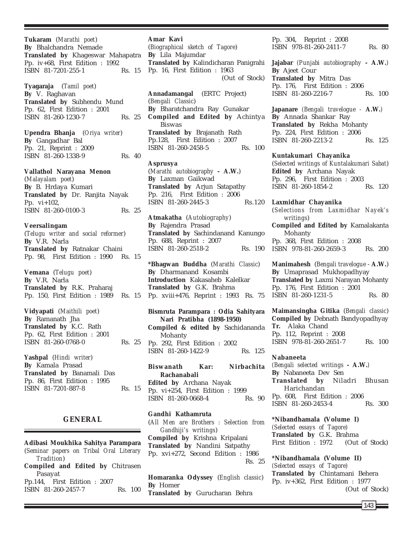**Tukaram** (*Marathi poet*) **By** Bhalchandra Nemade **Translated by** Khageswar Mahapatra Pp. iv+68, First Edition : 1992 ISBN 81-7201-255-1 Rs. 15

**Tyagaraja** (*Tamil poet*) **By** V. Raghavan **Translated by** Subhendu Mund Pp. 62, First Edition : 2001 ISBN 81-260-1230-7 Rs. 25

**Upendra Bhanja** (*Oriya writer*) **By** Gangadhar Bal Pp. 21, Reprint : 2009 ISBN 81-260-1338-9 Rs. 40

**Vallathol Narayana Menon** (*Malayalam poet*) **By** B. Hrdaya Kumari **Translated by** Dr. Ranjita Nayak Pp. vi+102, ISBN 81-260-0100-3 Rs. 25

## **Veersalingam**

(*Telugu writer and social reformer*) **By** V.R. Narla **Translated by** Ratnakar Chaini Pp. 98, First Edition : 1990 Rs. 15

**Vemana** (*Telugu poet*) **By** V.R. Narla **Translated by** R.K. Praharaj Pp. 150, First Edition : 1989 Rs. 15

**Vidyapati** (*Maithili poet*) **By** Ramanath Jha **Translated by** K.C. Rath Pp. 62, First Edition : 2001 ISBN 81-260-0768-0 Rs. 25

**Yashpal** (*Hindi writer*) **By** Kamala Prasad **Translated by** Banamali Das Pp. 86, First Edition : 1995 ISBN 81-7201-887-8 Rs. 15

## **GENERAL**

**Adibasi Moukhika Sahitya Parampara** (*Seminar papers on Tribal Oral Literary Tradition*) **Compiled and Edited by** Chitrasen Pasayat Pp.144, First Edition : 2007 ISBN 81-260-2457-7 Rs. 100

### **Amar Kavi** (*Biographical sketch of Tagore*)

**By** Lila Majumdar **Translated by** Kalindicharan Panigrahi Pp. 16, First Edition : 1963 (Out of Stock)

**Annadamangal** (ERTC Project) (*Bengali Classic*) **By** Bharatchandra Ray Gunakar **Compiled and Edited by** Achintya Biswas **Translated by** Brajanath Rath Pp.128, First Edition : 2007 ISBN 81-260-2458-5 Rs. 100

**Asprusya** (*Marathi autobiography* **- A.W.**) **By** Laxman Gaikwad **Translated by** Arjun Satapathy Pp. 216, First Edition : 2006 ISBN 81-260-2445-3 Rs.120

**Atmakatha** (*Autobiography*) **By** Rajendra Prasad **Translated by** Sachindanand Kanungo Pp. 688, Reprint : 2007 ISBN 81-260-2518-2 Rs. 190

**\*Bhagwan Buddha** (*Marathi Classic*) **By** Dharmanand Kosambi **Introduction** Kakasaheb Kalelkar **Translated by** G.K. Brahma Pp. xviii+476, Reprint : 1993 Rs. 75

**Bismruta Parampara : Odia Sahityara Nari Pratibha (1898-1950) Compiled & edited by** Sachidananda Mohanty Pp. 292, First Edition : 2002 ISBN 81-260-1422-9 Rs. 125

**Biswanath Kar: Nirbachita Rachanabali Edited by** Archana Nayak Pp. vi+254, First Edition : 1999 ISBN 81-260-0668-4 Rs. 90

**Gandhi Kathamruta** (*All Men are Brothers : Selection from Gandhiji's writings*) **Compiled by** Krishna Kripalani **Translated by** Nandini Satpathy Pp. xvi+272, Second Edition : 1986 Rs. 25

**Homaranka Odyssey** (*English classic*) **By** Homer **Translated by** Gurucharan Behra

Pp. 304, Reprint : 2008 ISBN 978-81-260-2411-7 Rs. 80

**Jajabar** *(Punjabi autobiography* **- A.W.***)* **By** Ajeet Cour **Translated by** Mitra Das Pp. 176, First Edition : 2006 ISBN 81-260-2216-7 Rs. 100

**Japanare** *(Bengali travelogue -* **A.W.***)* **By** Annada Shankar Ray **Translated by** Rekha Mohanty Pp. 224, First Edition : 2006 ISBN 81-260-2213-2 Rs. 125

**Kuntakumari Chayanika** (*Selected writings of Kuntalakumari Sabat*) **Edited by** Archana Nayak Pp. 296, First Edition : 2003 ISBN 81-260-1854-2 Rs. 120

**Laxmidhar Chayanika** (*Selections from Laxmidhar Nayek's writings*) **Compiled and Edited by** Kamalakanta Mohanty Pp. 368, First Edition : 2008 ISBN 978-81-260-2659-3 Rs. 200

**Manimahesh** (*Bengali travelogue* - **A.W.**) **By** Umaprasad Mukhopadhyay **Translated by** Laxmi Narayan Mohanty Pp. 176, First Edition : 2001 ISBN 81-260-1231-5 Rs. 80

**Maimansingha Gitika** (*Bengali classic*) **Compiled by** Debnath Bandyopadhyay **Tr.** Alaka Chand Pp. 112, Reprint : 2008 ISBN 978-81-260-2651-7 Rs. 100

**Nabaneeta** *(Bengali selected writings* **- A.W.***)* **By** Nabaneeta Dev Sen **Translated by** Niladri Bhusan Harichandan Pp. 608, First Edition : 2006 ISBN 81-260-2453-4 Rs. 300

**\*Nibandhamala (Volume I)** *(Selected essays of Tagore)* **Translated by** G.K. Brahma First Edition : 1972 (Out of Stock)

**\*Nibandhamala (Volume II)** *(Selected essays of Tagore)* **Translated by** Chintamani Behera Pp. iv+362, First Edition : 1977 (Out of Stock)